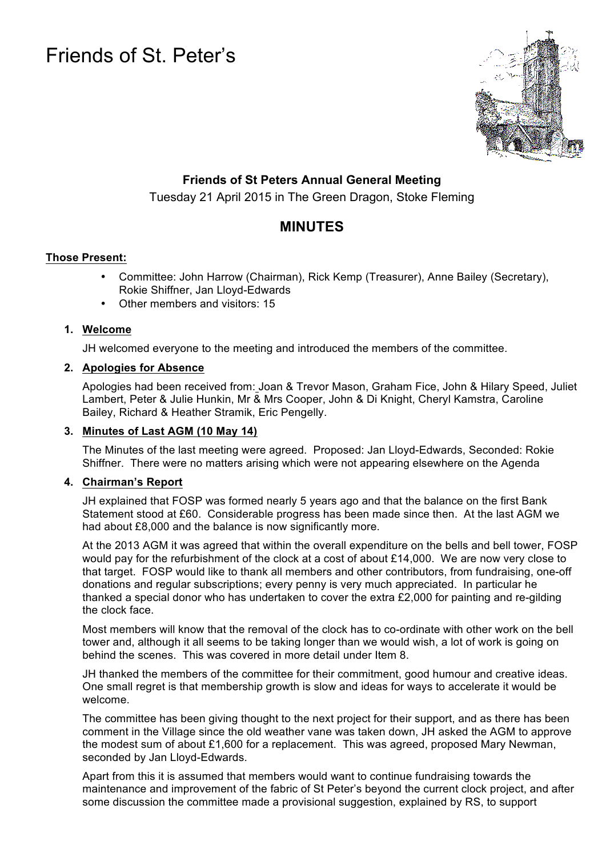# Friends of St. Peter's



### **Friends of St Peters Annual General Meeting**

Tuesday 21 April 2015 in The Green Dragon, Stoke Fleming

## **MINUTES**

#### **Those Present:**

- Committee: John Harrow (Chairman), Rick Kemp (Treasurer), Anne Bailey (Secretary), Rokie Shiffner, Jan Lloyd-Edwards
- Other members and visitors: 15

#### **1. Welcome**

JH welcomed everyone to the meeting and introduced the members of the committee.

#### **2. Apologies for Absence**

Apologies had been received from: Joan & Trevor Mason, Graham Fice, John & Hilary Speed, Juliet Lambert, Peter & Julie Hunkin, Mr & Mrs Cooper, John & Di Knight, Cheryl Kamstra, Caroline Bailey, Richard & Heather Stramik, Eric Pengelly.

#### **3. Minutes of Last AGM (10 May 14)**

The Minutes of the last meeting were agreed. Proposed: Jan Lloyd-Edwards, Seconded: Rokie Shiffner. There were no matters arising which were not appearing elsewhere on the Agenda

#### **4. Chairman's Report**

JH explained that FOSP was formed nearly 5 years ago and that the balance on the first Bank Statement stood at £60. Considerable progress has been made since then. At the last AGM we had about £8,000 and the balance is now significantly more.

At the 2013 AGM it was agreed that within the overall expenditure on the bells and bell tower, FOSP would pay for the refurbishment of the clock at a cost of about £14,000. We are now very close to that target. FOSP would like to thank all members and other contributors, from fundraising, one-off donations and regular subscriptions; every penny is very much appreciated. In particular he thanked a special donor who has undertaken to cover the extra £2,000 for painting and re-gilding the clock face.

Most members will know that the removal of the clock has to co-ordinate with other work on the bell tower and, although it all seems to be taking longer than we would wish, a lot of work is going on behind the scenes. This was covered in more detail under Item 8.

JH thanked the members of the committee for their commitment, good humour and creative ideas. One small regret is that membership growth is slow and ideas for ways to accelerate it would be welcome.

The committee has been giving thought to the next project for their support, and as there has been comment in the Village since the old weather vane was taken down, JH asked the AGM to approve the modest sum of about £1,600 for a replacement. This was agreed, proposed Mary Newman, seconded by Jan Lloyd-Edwards.

Apart from this it is assumed that members would want to continue fundraising towards the maintenance and improvement of the fabric of St Peter's beyond the current clock project, and after some discussion the committee made a provisional suggestion, explained by RS, to support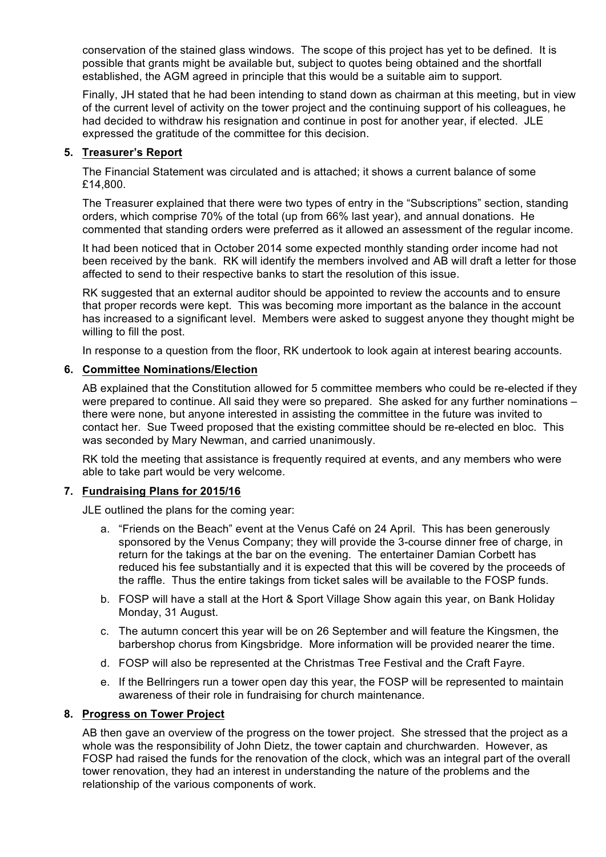conservation of the stained glass windows. The scope of this project has yet to be defined. It is possible that grants might be available but, subject to quotes being obtained and the shortfall established, the AGM agreed in principle that this would be a suitable aim to support.

Finally, JH stated that he had been intending to stand down as chairman at this meeting, but in view of the current level of activity on the tower project and the continuing support of his colleagues, he had decided to withdraw his resignation and continue in post for another year, if elected. JLE expressed the gratitude of the committee for this decision.

#### **5. Treasurer's Report**

The Financial Statement was circulated and is attached; it shows a current balance of some £14,800.

The Treasurer explained that there were two types of entry in the "Subscriptions" section, standing orders, which comprise 70% of the total (up from 66% last year), and annual donations. He commented that standing orders were preferred as it allowed an assessment of the regular income.

It had been noticed that in October 2014 some expected monthly standing order income had not been received by the bank. RK will identify the members involved and AB will draft a letter for those affected to send to their respective banks to start the resolution of this issue.

RK suggested that an external auditor should be appointed to review the accounts and to ensure that proper records were kept. This was becoming more important as the balance in the account has increased to a significant level. Members were asked to suggest anyone they thought might be willing to fill the post.

In response to a question from the floor, RK undertook to look again at interest bearing accounts.

#### **6. Committee Nominations/Election**

AB explained that the Constitution allowed for 5 committee members who could be re-elected if they were prepared to continue. All said they were so prepared. She asked for any further nominations – there were none, but anyone interested in assisting the committee in the future was invited to contact her. Sue Tweed proposed that the existing committee should be re-elected en bloc. This was seconded by Mary Newman, and carried unanimously.

RK told the meeting that assistance is frequently required at events, and any members who were able to take part would be very welcome.

#### **7. Fundraising Plans for 2015/16**

JLE outlined the plans for the coming year:

- a. "Friends on the Beach" event at the Venus Café on 24 April. This has been generously sponsored by the Venus Company; they will provide the 3-course dinner free of charge, in return for the takings at the bar on the evening. The entertainer Damian Corbett has reduced his fee substantially and it is expected that this will be covered by the proceeds of the raffle. Thus the entire takings from ticket sales will be available to the FOSP funds.
- b. FOSP will have a stall at the Hort & Sport Village Show again this year, on Bank Holiday Monday, 31 August.
- c. The autumn concert this year will be on 26 September and will feature the Kingsmen, the barbershop chorus from Kingsbridge. More information will be provided nearer the time.
- d. FOSP will also be represented at the Christmas Tree Festival and the Craft Fayre.
- e. If the Bellringers run a tower open day this year, the FOSP will be represented to maintain awareness of their role in fundraising for church maintenance.

#### **8. Progress on Tower Project**

AB then gave an overview of the progress on the tower project. She stressed that the project as a whole was the responsibility of John Dietz, the tower captain and churchwarden. However, as FOSP had raised the funds for the renovation of the clock, which was an integral part of the overall tower renovation, they had an interest in understanding the nature of the problems and the relationship of the various components of work.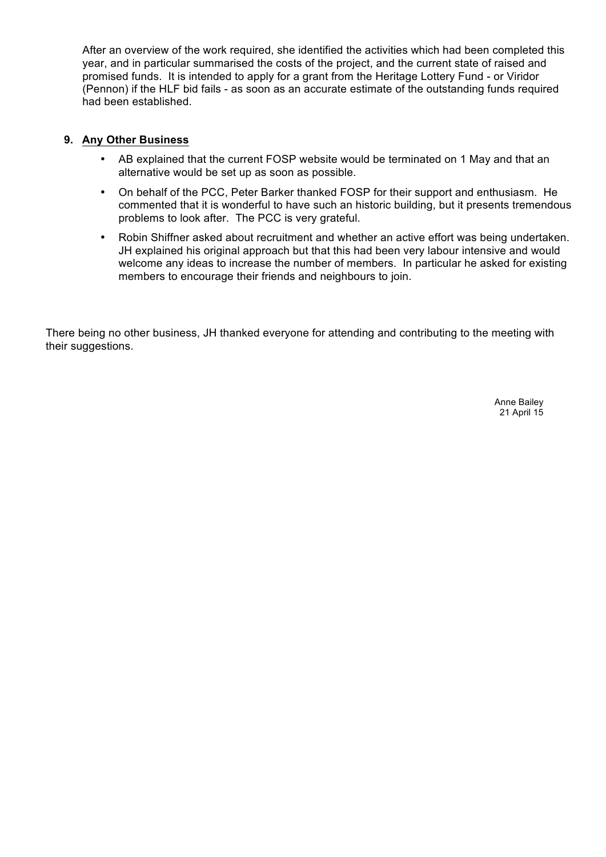After an overview of the work required, she identified the activities which had been completed this year, and in particular summarised the costs of the project, and the current state of raised and promised funds. It is intended to apply for a grant from the Heritage Lottery Fund - or Viridor (Pennon) if the HLF bid fails - as soon as an accurate estimate of the outstanding funds required had been established.

#### **9. Any Other Business**

- AB explained that the current FOSP website would be terminated on 1 May and that an alternative would be set up as soon as possible.
- On behalf of the PCC, Peter Barker thanked FOSP for their support and enthusiasm. He commented that it is wonderful to have such an historic building, but it presents tremendous problems to look after. The PCC is very grateful.
- Robin Shiffner asked about recruitment and whether an active effort was being undertaken. JH explained his original approach but that this had been very labour intensive and would welcome any ideas to increase the number of members. In particular he asked for existing members to encourage their friends and neighbours to join.

There being no other business, JH thanked everyone for attending and contributing to the meeting with their suggestions.

> Anne Bailey 21 April 15